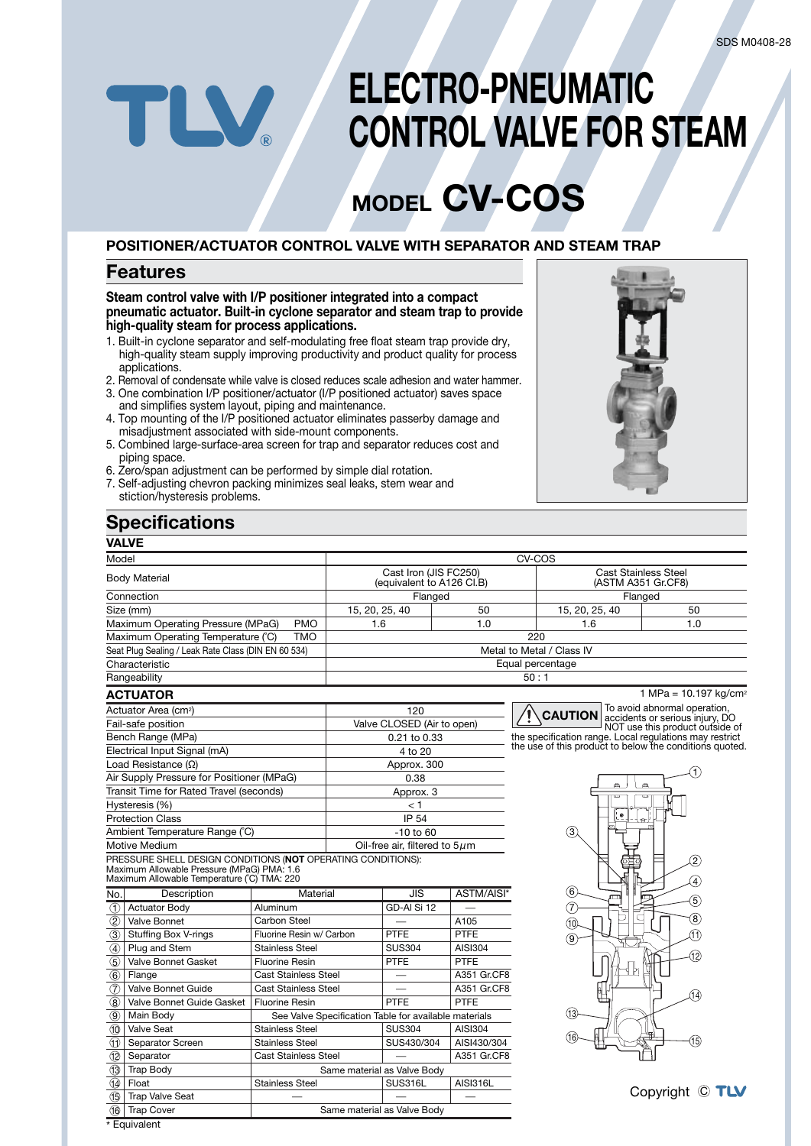# **ELECTRO-PNEUMATIC CONTROL VALVE FOR STEAM**

# **MODEL CV-COS**

## **POSITIONER/ACTUATOR CONTROL VALVE WITH SEPARATOR AND STEAM TRAP**

## **Features**

TLV

**Steam control valve with I/P positioner integrated into a compact pneumatic actuator. Built-in cyclone separator and steam trap to provide high-quality steam for process applications.**

- 1. Built-in cyclone separator and self-modulating free float steam trap provide dry, high-quality steam supply improving productivity and product quality for process applications.
- 2. Removal of condensate while valve is closed reduces scale adhesion and water hammer. 3. One combination I/P positioner/actuator (I/P positioned actuator) saves space
- and simplifies system layout, piping and maintenance. 4. Top mounting of the I/P positioned actuator eliminates passerby damage and misadjustment associated with side-mount components.
- 5. Combined large-surface-area screen for trap and separator reduces cost and piping space.
- 6. Zero/span adjustment can be performed by simple dial rotation.
- 7. Self-adjusting chevron packing minimizes seal leaks, stem wear and stiction/hysteresis problems.

### **Specifications VALVE**



| ▾◠∟▾∟                                                                                     |                                                    |                           |                                                       |                                                   |                                                                                                                               |                                     |  |  |  |
|-------------------------------------------------------------------------------------------|----------------------------------------------------|---------------------------|-------------------------------------------------------|---------------------------------------------------|-------------------------------------------------------------------------------------------------------------------------------|-------------------------------------|--|--|--|
| Model                                                                                     |                                                    |                           |                                                       |                                                   | CV-COS                                                                                                                        |                                     |  |  |  |
| <b>Body Material</b>                                                                      | Cast Iron (JIS FC250)<br>(equivalent to A126 CI.B) |                           |                                                       | <b>Cast Stainless Steel</b><br>(ASTM A351 Gr.CF8) |                                                                                                                               |                                     |  |  |  |
| Connection                                                                                | Flanged                                            |                           |                                                       |                                                   | Flanged                                                                                                                       |                                     |  |  |  |
| Size (mm)                                                                                 |                                                    | 15, 20, 25, 40<br>50      |                                                       | 15, 20, 25, 40                                    | 50                                                                                                                            |                                     |  |  |  |
| Maximum Operating Pressure (MPaG)                                                         | <b>PMO</b>                                         | 1.6                       |                                                       | 1.0                                               | 1.6                                                                                                                           | 1.0                                 |  |  |  |
| Maximum Operating Temperature (°C)                                                        | <b>TMO</b>                                         |                           |                                                       |                                                   | 220                                                                                                                           |                                     |  |  |  |
| Seat Plug Sealing / Leak Rate Class (DIN EN 60 534)                                       |                                                    | Metal to Metal / Class IV |                                                       |                                                   |                                                                                                                               |                                     |  |  |  |
| Characteristic                                                                            |                                                    |                           | Equal percentage                                      |                                                   |                                                                                                                               |                                     |  |  |  |
| Rangeability                                                                              |                                                    | 50:1                      |                                                       |                                                   |                                                                                                                               |                                     |  |  |  |
| <b>ACTUATOR</b>                                                                           |                                                    |                           |                                                       |                                                   |                                                                                                                               | 1 MPa = $10.197$ kg/cm <sup>2</sup> |  |  |  |
| Actuator Area (cm <sup>2</sup> )                                                          |                                                    |                           | 120                                                   |                                                   | <b>CAUTION</b>                                                                                                                | To avoid abnormal operation,        |  |  |  |
| Fail-safe position                                                                        |                                                    |                           |                                                       | Valve CLOSED (Air to open)                        | accidents or serious injury, DO<br>NOT use this product outside of<br>the specification range. Local regulations may restrict |                                     |  |  |  |
| Bench Range (MPa)                                                                         |                                                    | 0.21 to 0.33              |                                                       |                                                   |                                                                                                                               |                                     |  |  |  |
| Electrical Input Signal (mA)                                                              | 4 to 20                                            |                           |                                                       |                                                   | the use of this product to below the conditions quoted.                                                                       |                                     |  |  |  |
| Load Resistance $(\Omega)$                                                                |                                                    | Approx. 300               |                                                       |                                                   |                                                                                                                               |                                     |  |  |  |
| Air Supply Pressure for Positioner (MPaG)                                                 | 0.38                                               |                           |                                                       |                                                   | A                                                                                                                             |                                     |  |  |  |
| Transit Time for Rated Travel (seconds)                                                   | Approx. 3                                          |                           |                                                       |                                                   |                                                                                                                               |                                     |  |  |  |
| Hysteresis (%)                                                                            | < 1                                                |                           |                                                       | 3)                                                |                                                                                                                               |                                     |  |  |  |
| <b>Protection Class</b>                                                                   | <b>IP 54</b>                                       |                           |                                                       |                                                   |                                                                                                                               |                                     |  |  |  |
| Ambient Temperature Range (°C)                                                            | $-10$ to $60$                                      |                           |                                                       |                                                   |                                                                                                                               |                                     |  |  |  |
| Motive Medium                                                                             | Oil-free air, filtered to $5\mu$ m                 |                           |                                                       |                                                   |                                                                                                                               |                                     |  |  |  |
| PRESSURE SHELL DESIGN CONDITIONS (NOT OPERATING CONDITIONS):                              |                                                    |                           |                                                       |                                                   |                                                                                                                               | $\widehat{\mathbf{2}}$              |  |  |  |
| Maximum Allowable Pressure (MPaG) PMA: 1.6<br>Maximum Allowable Temperature (°C) TMA: 220 |                                                    |                           |                                                       |                                                   |                                                                                                                               | $\left(4\right)$                    |  |  |  |
| Description<br>No.                                                                        | Material                                           |                           | <b>JIS</b>                                            | ASTM/AISI*                                        | (6)                                                                                                                           |                                     |  |  |  |
| <b>Actuator Body</b><br>(1)                                                               | Aluminum                                           |                           | GD-AI Si 12                                           |                                                   | 7                                                                                                                             | 5,                                  |  |  |  |
| $^{\circledR}$<br>Valve Bonnet                                                            | Carbon Steel                                       |                           |                                                       | A105                                              | (10)                                                                                                                          | $\circledast$                       |  |  |  |
| <b>Stuffing Box V-rings</b><br>$\circled{3}$                                              | Fluorine Resin w/ Carbon                           |                           | <b>PTFE</b>                                           | <b>PTFE</b>                                       | (9)                                                                                                                           | M                                   |  |  |  |
| $\circled{4}$<br>Plug and Stem                                                            | <b>Stainless Steel</b>                             |                           | <b>SUS304</b>                                         | AISI304                                           |                                                                                                                               |                                     |  |  |  |
| $\circledS$<br><b>Valve Bonnet Gasket</b>                                                 | <b>Fluorine Resin</b>                              |                           | <b>PTFE</b>                                           | <b>PTFE</b>                                       |                                                                                                                               | 12                                  |  |  |  |
| $\circled6$<br>Flange                                                                     | <b>Cast Stainless Steel</b>                        |                           |                                                       | A351 Gr.CF8                                       |                                                                                                                               |                                     |  |  |  |
| $\circled7$<br>Valve Bonnet Guide                                                         | <b>Cast Stainless Steel</b>                        |                           |                                                       | A351 Gr.CF8                                       |                                                                                                                               | 14)                                 |  |  |  |
| $\circledR$<br>Valve Bonnet Guide Gasket                                                  | <b>Fluorine Resin</b>                              |                           | <b>PTFE</b>                                           | PTFE                                              |                                                                                                                               |                                     |  |  |  |
| $\circled{9}$<br>Main Body                                                                |                                                    |                           | See Valve Specification Table for available materials |                                                   | (13                                                                                                                           |                                     |  |  |  |
| $\circledR$<br><b>Valve Seat</b>                                                          | <b>Stainless Steel</b>                             |                           | <b>SUS304</b><br><b>AISI304</b>                       |                                                   |                                                                                                                               |                                     |  |  |  |
| Separator Screen<br>(T)                                                                   | <b>Stainless Steel</b>                             |                           | SUS430/304                                            | AISI430/304                                       |                                                                                                                               | 15)                                 |  |  |  |
| $\circled{12}$<br>Separator                                                               | <b>Cast Stainless Steel</b>                        |                           |                                                       | A351 Gr.CF8                                       |                                                                                                                               |                                     |  |  |  |
| 13<br><b>Trap Body</b>                                                                    |                                                    |                           | Same material as Valve Body                           |                                                   |                                                                                                                               |                                     |  |  |  |
| $\sqrt{44}$<br>Float                                                                      | <b>Stainless Steel</b>                             |                           | SUS316L                                               | <b>AISI316L</b>                                   |                                                                                                                               |                                     |  |  |  |
| 15<br><b>Trap Valve Seat</b>                                                              |                                                    |                           |                                                       |                                                   |                                                                                                                               | Copyright © TLV                     |  |  |  |
| <b>Trap Cover</b><br>(16) I                                                               |                                                    |                           | Same material as Valve Body                           |                                                   |                                                                                                                               |                                     |  |  |  |

\* Equivalent